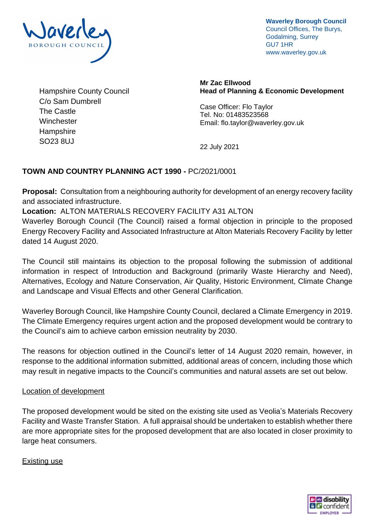

**Waverley Borough Council** Council Offices, The Burys, Godalming, Surrey GU7 1HR www.waverley.gov.uk

Hampshire County Council C/o Sam Dumbrell The Castle **Winchester Hampshire** SO23 8UJ

**Mr Zac Ellwood Head of Planning & Economic Development**

Case Officer: Flo Taylor Tel. No: 01483523568 Email: flo.taylor@waverley.gov.uk

22 July 2021

# **TOWN AND COUNTRY PLANNING ACT 1990 -** PC/2021/0001

**Proposal:** Consultation from a neighbouring authority for development of an energy recovery facility and associated infrastructure.

**Location:** ALTON MATERIALS RECOVERY FACILITY A31 ALTON

Waverley Borough Council (The Council) raised a formal objection in principle to the proposed Energy Recovery Facility and Associated Infrastructure at Alton Materials Recovery Facility by letter dated 14 August 2020.

The Council still maintains its objection to the proposal following the submission of additional information in respect of Introduction and Background (primarily Waste Hierarchy and Need), Alternatives, Ecology and Nature Conservation, Air Quality, Historic Environment, Climate Change and Landscape and Visual Effects and other General Clarification.

Waverley Borough Council, like Hampshire County Council, declared a Climate Emergency in 2019. The Climate Emergency requires urgent action and the proposed development would be contrary to the Council's aim to achieve carbon emission neutrality by 2030.

The reasons for objection outlined in the Council's letter of 14 August 2020 remain, however, in response to the additional information submitted, additional areas of concern, including those which may result in negative impacts to the Council's communities and natural assets are set out below.

#### Location of development

The proposed development would be sited on the existing site used as Veolia's Materials Recovery Facility and Waste Transfer Station. A full appraisal should be undertaken to establish whether there are more appropriate sites for the proposed development that are also located in closer proximity to large heat consumers.

Existing use

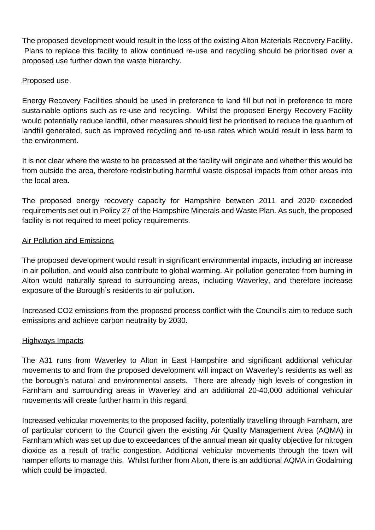The proposed development would result in the loss of the existing Alton Materials Recovery Facility. Plans to replace this facility to allow continued re-use and recycling should be prioritised over a proposed use further down the waste hierarchy.

## Proposed use

Energy Recovery Facilities should be used in preference to land fill but not in preference to more sustainable options such as re-use and recycling. Whilst the proposed Energy Recovery Facility would potentially reduce landfill, other measures should first be prioritised to reduce the quantum of landfill generated, such as improved recycling and re-use rates which would result in less harm to the environment.

It is not clear where the waste to be processed at the facility will originate and whether this would be from outside the area, therefore redistributing harmful waste disposal impacts from other areas into the local area.

The proposed energy recovery capacity for Hampshire between 2011 and 2020 exceeded requirements set out in Policy 27 of the Hampshire Minerals and Waste Plan. As such, the proposed facility is not required to meet policy requirements.

## Air Pollution and Emissions

The proposed development would result in significant environmental impacts, including an increase in air pollution, and would also contribute to global warming. Air pollution generated from burning in Alton would naturally spread to surrounding areas, including Waverley, and therefore increase exposure of the Borough's residents to air pollution.

Increased CO2 emissions from the proposed process conflict with the Council's aim to reduce such emissions and achieve carbon neutrality by 2030.

#### Highways Impacts

The A31 runs from Waverley to Alton in East Hampshire and significant additional vehicular movements to and from the proposed development will impact on Waverley's residents as well as the borough's natural and environmental assets. There are already high levels of congestion in Farnham and surrounding areas in Waverley and an additional 20-40,000 additional vehicular movements will create further harm in this regard.

Increased vehicular movements to the proposed facility, potentially travelling through Farnham, are of particular concern to the Council given the existing Air Quality Management Area (AQMA) in Farnham which was set up due to exceedances of the annual mean air quality objective for nitrogen dioxide as a result of traffic congestion. Additional vehicular movements through the town will hamper efforts to manage this. Whilst further from Alton, there is an additional AQMA in Godalming which could be impacted.